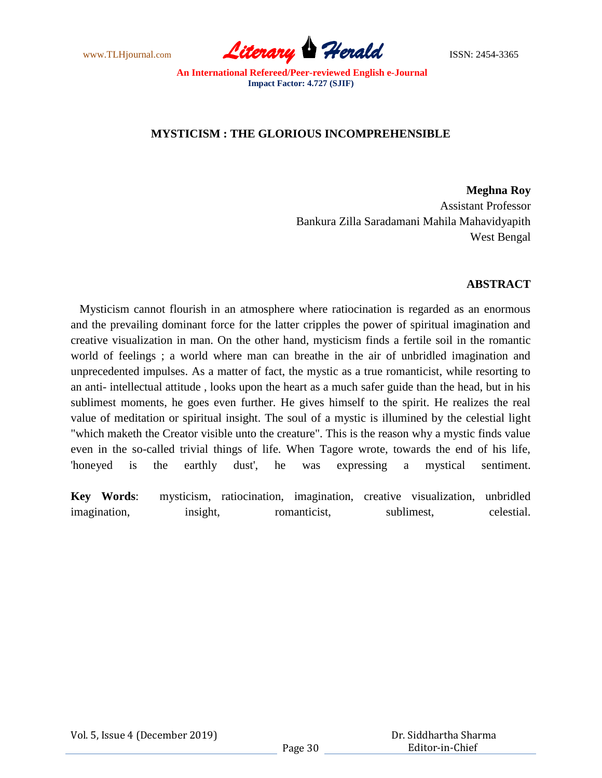www.TLHjournal.com **Literary Herald** ISSN: 2454-3365

## **MYSTICISM : THE GLORIOUS INCOMPREHENSIBLE**

**Meghna Roy** Assistant Professor Bankura Zilla Saradamani Mahila Mahavidyapith West Bengal

## **ABSTRACT**

 Mysticism cannot flourish in an atmosphere where ratiocination is regarded as an enormous and the prevailing dominant force for the latter cripples the power of spiritual imagination and creative visualization in man. On the other hand, mysticism finds a fertile soil in the romantic world of feelings ; a world where man can breathe in the air of unbridled imagination and unprecedented impulses. As a matter of fact, the mystic as a true romanticist, while resorting to an anti- intellectual attitude , looks upon the heart as a much safer guide than the head, but in his sublimest moments, he goes even further. He gives himself to the spirit. He realizes the real value of meditation or spiritual insight. The soul of a mystic is illumined by the celestial light "which maketh the Creator visible unto the creature". This is the reason why a mystic finds value even in the so-called trivial things of life. When Tagore wrote, towards the end of his life, 'honeyed is the earthly dust', he was expressing a mystical sentiment.

**Key Words**: mysticism, ratiocination, imagination, creative visualization, unbridled imagination, insight, romanticist, sublimest, celestial.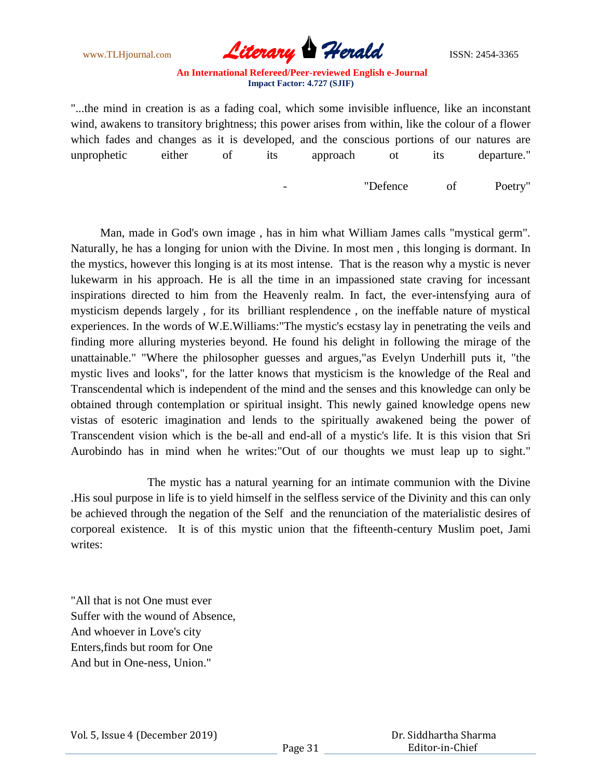

"...the mind in creation is as a fading coal, which some invisible influence, like an inconstant wind, awakens to transitory brightness; this power arises from within, like the colour of a flower which fades and changes as it is developed, and the conscious portions of our natures are unprophetic either of its approach ot its departure."

- "Defence of Poetry"

 Man, made in God's own image , has in him what William James calls "mystical germ". Naturally, he has a longing for union with the Divine. In most men , this longing is dormant. In the mystics, however this longing is at its most intense. That is the reason why a mystic is never lukewarm in his approach. He is all the time in an impassioned state craving for incessant inspirations directed to him from the Heavenly realm. In fact, the ever-intensfying aura of mysticism depends largely , for its brilliant resplendence , on the ineffable nature of mystical experiences. In the words of W.E.Williams:"The mystic's ecstasy lay in penetrating the veils and finding more alluring mysteries beyond. He found his delight in following the mirage of the unattainable." "Where the philosopher guesses and argues,"as Evelyn Underhill puts it, "the mystic lives and looks", for the latter knows that mysticism is the knowledge of the Real and Transcendental which is independent of the mind and the senses and this knowledge can only be obtained through contemplation or spiritual insight. This newly gained knowledge opens new vistas of esoteric imagination and lends to the spiritually awakened being the power of Transcendent vision which is the be-all and end-all of a mystic's life. It is this vision that Sri Aurobindo has in mind when he writes:"Out of our thoughts we must leap up to sight."

 The mystic has a natural yearning for an intimate communion with the Divine .His soul purpose in life is to yield himself in the selfless service of the Divinity and this can only be achieved through the negation of the Self and the renunciation of the materialistic desires of corporeal existence. It is of this mystic union that the fifteenth-century Muslim poet, Jami writes:

"All that is not One must ever Suffer with the wound of Absence, And whoever in Love's city Enters,finds but room for One And but in One-ness, Union."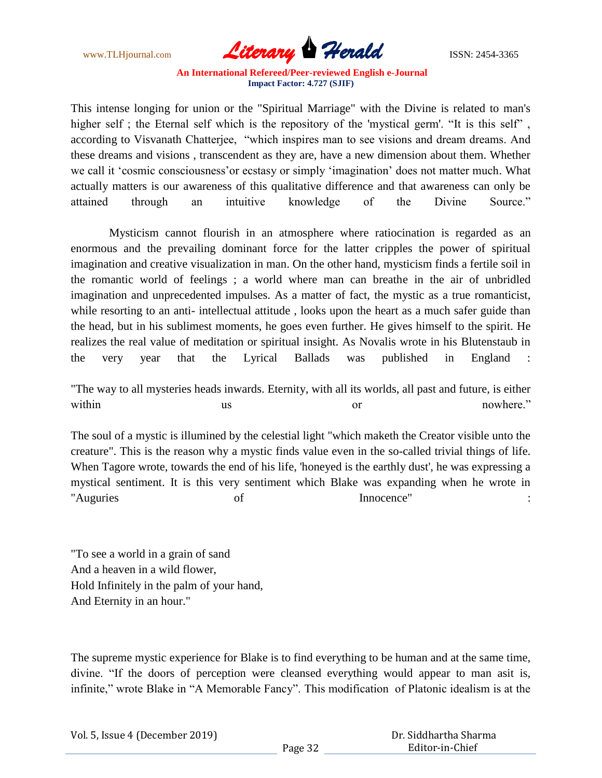

This intense longing for union or the "Spiritual Marriage" with the Divine is related to man's higher self; the Eternal self which is the repository of the 'mystical germ'. "It is this self", according to Visvanath Chatterjee, "which inspires man to see visions and dream dreams. And these dreams and visions , transcendent as they are, have a new dimension about them. Whether we call it 'cosmic consciousness' or ecstasy or simply 'imagination' does not matter much. What actually matters is our awareness of this qualitative difference and that awareness can only be attained through an intuitive knowledge of the Divine Source."

 Mysticism cannot flourish in an atmosphere where ratiocination is regarded as an enormous and the prevailing dominant force for the latter cripples the power of spiritual imagination and creative visualization in man. On the other hand, mysticism finds a fertile soil in the romantic world of feelings ; a world where man can breathe in the air of unbridled imagination and unprecedented impulses. As a matter of fact, the mystic as a true romanticist, while resorting to an anti- intellectual attitude, looks upon the heart as a much safer guide than the head, but in his sublimest moments, he goes even further. He gives himself to the spirit. He realizes the real value of meditation or spiritual insight. As Novalis wrote in his Blutenstaub in the very year that the Lyrical Ballads was published in England :

"The way to all mysteries heads inwards. Eternity, with all its worlds, all past and future, is either within us us or nowhere."

The soul of a mystic is illumined by the celestial light "which maketh the Creator visible unto the creature". This is the reason why a mystic finds value even in the so-called trivial things of life. When Tagore wrote, towards the end of his life, 'honeyed is the earthly dust', he was expressing a mystical sentiment. It is this very sentiment which Blake was expanding when he wrote in "Auguries of Innocence" :

"To see a world in a grain of sand And a heaven in a wild flower, Hold Infinitely in the palm of your hand, And Eternity in an hour."

The supreme mystic experience for Blake is to find everything to be human and at the same time, divine. "If the doors of perception were cleansed everything would appear to man asit is, infinite," wrote Blake in "A Memorable Fancy". This modification of Platonic idealism is at the

|  | Vol. 5, Issue 4 (December 2019) |
|--|---------------------------------|
|--|---------------------------------|

 Dr. Siddhartha Sharma Editor-in-Chief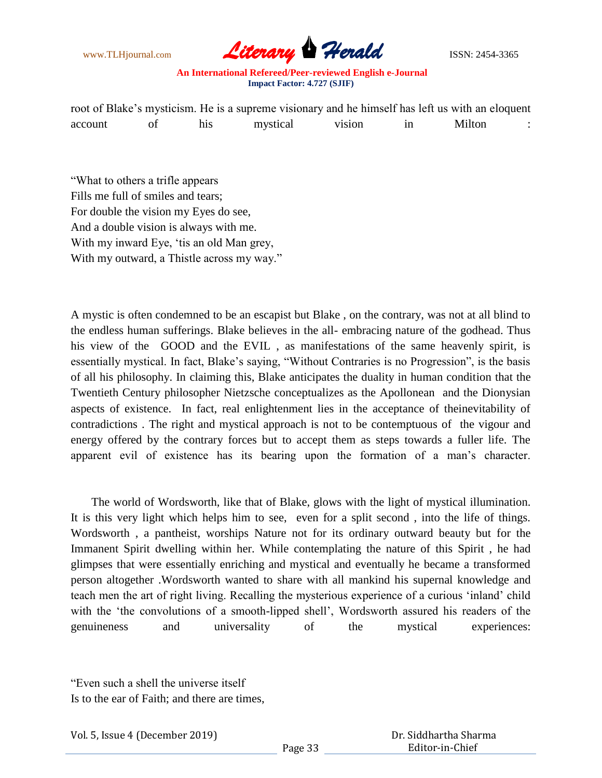

root of Blake's mysticism. He is a supreme visionary and he himself has left us with an eloquent account of his mystical vision in Milton :

"What to others a trifle appears Fills me full of smiles and tears; For double the vision my Eyes do see, And a double vision is always with me. With my inward Eye, "tis an old Man grey, With my outward, a Thistle across my way."

A mystic is often condemned to be an escapist but Blake , on the contrary, was not at all blind to the endless human sufferings. Blake believes in the all- embracing nature of the godhead. Thus his view of the GOOD and the EVIL , as manifestations of the same heavenly spirit, is essentially mystical. In fact, Blake"s saying, "Without Contraries is no Progression", is the basis of all his philosophy. In claiming this, Blake anticipates the duality in human condition that the Twentieth Century philosopher Nietzsche conceptualizes as the Apollonean and the Dionysian aspects of existence. In fact, real enlightenment lies in the acceptance of theinevitability of contradictions . The right and mystical approach is not to be contemptuous of the vigour and energy offered by the contrary forces but to accept them as steps towards a fuller life. The apparent evil of existence has its bearing upon the formation of a man"s character.

 The world of Wordsworth, like that of Blake, glows with the light of mystical illumination. It is this very light which helps him to see, even for a split second , into the life of things. Wordsworth , a pantheist, worships Nature not for its ordinary outward beauty but for the Immanent Spirit dwelling within her. While contemplating the nature of this Spirit , he had glimpses that were essentially enriching and mystical and eventually he became a transformed person altogether .Wordsworth wanted to share with all mankind his supernal knowledge and teach men the art of right living. Recalling the mysterious experience of a curious "inland" child with the "the convolutions of a smooth-lipped shell", Wordsworth assured his readers of the genuineness and universality of the mystical experiences:

<sup>&</sup>quot;Even such a shell the universe itself

Is to the ear of Faith; and there are times,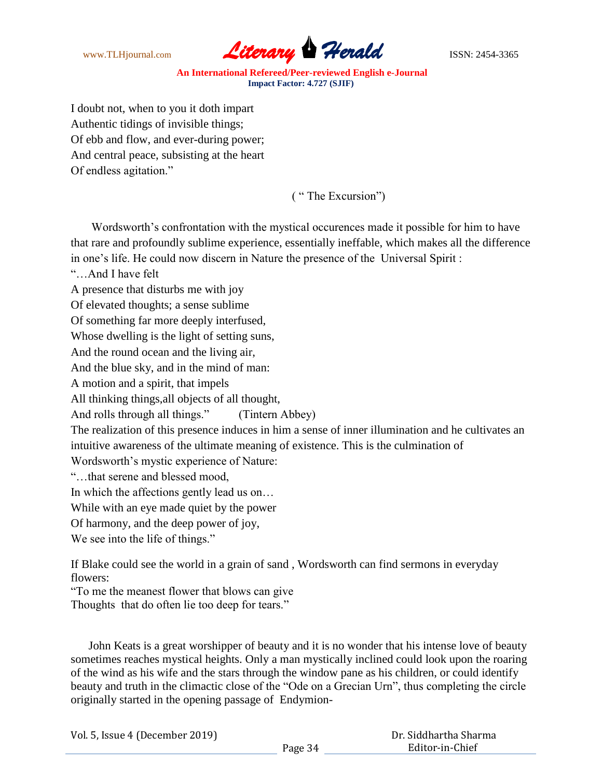

I doubt not, when to you it doth impart Authentic tidings of invisible things; Of ebb and flow, and ever-during power; And central peace, subsisting at the heart Of endless agitation."

( " The Excursion")

Wordsworth's confrontation with the mystical occurences made it possible for him to have that rare and profoundly sublime experience, essentially ineffable, which makes all the difference in one"s life. He could now discern in Nature the presence of the Universal Spirit :

"…And I have felt

A presence that disturbs me with joy

Of elevated thoughts; a sense sublime

Of something far more deeply interfused,

Whose dwelling is the light of setting suns,

And the round ocean and the living air,

And the blue sky, and in the mind of man:

A motion and a spirit, that impels

All thinking things,all objects of all thought,

And rolls through all things." (Tintern Abbey)

The realization of this presence induces in him a sense of inner illumination and he cultivates an intuitive awareness of the ultimate meaning of existence. This is the culmination of

Wordsworth"s mystic experience of Nature:

"…that serene and blessed mood,

In which the affections gently lead us on…

While with an eye made quiet by the power

Of harmony, and the deep power of joy,

We see into the life of things."

If Blake could see the world in a grain of sand , Wordsworth can find sermons in everyday flowers:

"To me the meanest flower that blows can give

Thoughts that do often lie too deep for tears."

 John Keats is a great worshipper of beauty and it is no wonder that his intense love of beauty sometimes reaches mystical heights. Only a man mystically inclined could look upon the roaring of the wind as his wife and the stars through the window pane as his children, or could identify beauty and truth in the climactic close of the "Ode on a Grecian Urn", thus completing the circle originally started in the opening passage of Endymion-

|  | Vol. 5, Issue 4 (December 2019) |
|--|---------------------------------|
|--|---------------------------------|

 Dr. Siddhartha Sharma Editor-in-Chief